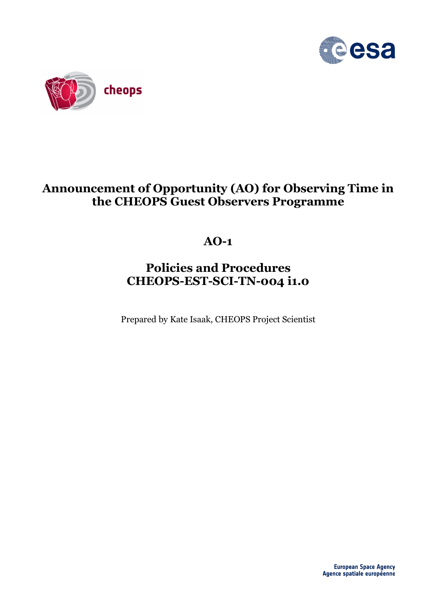



# **Announcement of Opportunity (AO) for Observing Time in the CHEOPS Guest Observers Programme**

# **AO-1**

# **Policies and Procedures CHEOPS-EST-SCI-TN-004 i1.0**

Prepared by Kate Isaak, CHEOPS Project Scientist

**European Space Agency** Agence spatiale européenne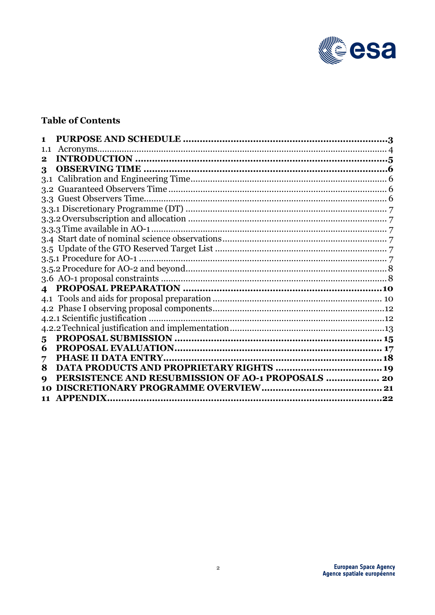

#### **Table of Contents**

| 1.1              |                                                    |  |
|------------------|----------------------------------------------------|--|
| 2                |                                                    |  |
| 3                |                                                    |  |
| 3.1              |                                                    |  |
| 3.2              |                                                    |  |
|                  |                                                    |  |
|                  |                                                    |  |
|                  |                                                    |  |
|                  |                                                    |  |
|                  |                                                    |  |
|                  |                                                    |  |
|                  | 3.5.1 Procedure for AO-1.                          |  |
|                  |                                                    |  |
|                  |                                                    |  |
| $\blacktriangle$ |                                                    |  |
|                  |                                                    |  |
|                  |                                                    |  |
|                  |                                                    |  |
|                  |                                                    |  |
| 5                |                                                    |  |
| 6                |                                                    |  |
| 7                |                                                    |  |
| 8                |                                                    |  |
| q                | PERSISTENCE AND RESUBMISSION OF AO-1 PROPOSALS  20 |  |
|                  |                                                    |  |
| 11               | <b>APPENDIX.</b>                                   |  |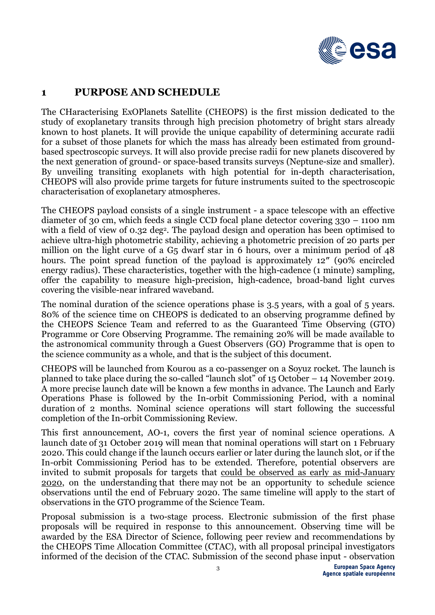

## **1 PURPOSE AND SCHEDULE**

The CHaracterising ExOPlanets Satellite (CHEOPS) is the first mission dedicated to the study of exoplanetary transits through high precision photometry of bright stars already known to host planets. It will provide the unique capability of determining accurate radii for a subset of those planets for which the mass has already been estimated from groundbased spectroscopic surveys. It will also provide precise radii for new planets discovered by the next generation of ground- or space-based transits surveys (Neptune-size and smaller). By unveiling transiting exoplanets with high potential for in-depth characterisation, CHEOPS will also provide prime targets for future instruments suited to the spectroscopic characterisation of exoplanetary atmospheres.

The CHEOPS payload consists of a single instrument - a space telescope with an effective diameter of 30 cm, which feeds a single CCD focal plane detector covering 330 – 1100 nm with a field of view of 0.32 deg<sup>2</sup>. The payload design and operation has been optimised to achieve ultra-high photometric stability, achieving a photometric precision of 20 parts per million on the light curve of a G5 dwarf star in 6 hours, over a minimum period of 48 hours. The point spread function of the payload is approximately 12" (90% encircled energy radius). These characteristics, together with the high-cadence (1 minute) sampling, offer the capability to measure high-precision, high-cadence, broad-band light curves covering the visible-near infrared waveband.

The nominal duration of the science operations phase is 3.5 years, with a goal of 5 years. 80% of the science time on CHEOPS is dedicated to an observing programme defined by the CHEOPS Science Team and referred to as the Guaranteed Time Observing (GTO) Programme or Core Observing Programme. The remaining 20% will be made available to the astronomical community through a Guest Observers (GO) Programme that is open to the science community as a whole, and that is the subject of this document.

CHEOPS will be launched from Kourou as a co-passenger on a Soyuz rocket. The launch is planned to take place during the so-called "launch slot" of 15 October – 14 November 2019. A more precise launch date will be known a few months in advance. The Launch and Early Operations Phase is followed by the In-orbit Commissioning Period, with a nominal duration of 2 months. Nominal science operations will start following the successful completion of the In-orbit Commissioning Review.

This first announcement, AO-1, covers the first year of nominal science operations. A launch date of 31 October 2019 will mean that nominal operations will start on 1 February 2020. This could change if the launch occurs earlier or later during the launch slot, or if the In-orbit Commissioning Period has to be extended. Therefore, potential observers are invited to submit proposals for targets that could be observed as early as mid-January 2020, on the understanding that there may not be an opportunity to schedule science observations until the end of February 2020. The same timeline will apply to the start of observations in the GTO programme of the Science Team.

Proposal submission is a two-stage process. Electronic submission of the first phase proposals will be required in response to this announcement. Observing time will be awarded by the ESA Director of Science, following peer review and recommendations by the CHEOPS Time Allocation Committee (CTAC), with all proposal principal investigators informed of the decision of the CTAC. Submission of the second phase input - observation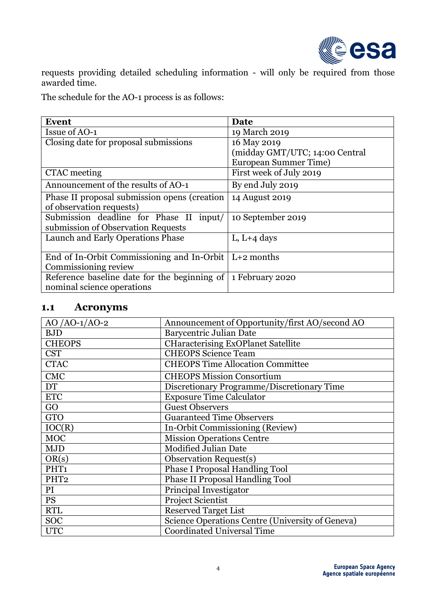

requests providing detailed scheduling information - will only be required from those awarded time.

The schedule for the AO-1 process is as follows:

| <b>Event</b>                                                  | Date                           |
|---------------------------------------------------------------|--------------------------------|
| <b>Issue of AO-1</b>                                          | 19 March 2019                  |
| Closing date for proposal submissions                         | 16 May 2019                    |
|                                                               | (midday GMT/UTC; 14:00 Central |
|                                                               | <b>European Summer Time)</b>   |
| CTAC meeting                                                  | First week of July 2019        |
| Announcement of the results of AO-1                           | By end July 2019               |
| Phase II proposal submission opens (creation                  | 14 August 2019                 |
| of observation requests)                                      |                                |
| Submission deadline for Phase II<br>input/                    | 10 September 2019              |
| submission of Observation Requests                            |                                |
| Launch and Early Operations Phase                             | L, $L+4$ days                  |
|                                                               |                                |
| End of In-Orbit Commissioning and In-Orbit $\vert$ L+2 months |                                |
| Commissioning review                                          |                                |
| Reference baseline date for the beginning of                  | 1 February 2020                |
| nominal science operations                                    |                                |

#### **1.1 Acronyms**

| AO /AO-1/AO-2    | Announcement of Opportunity/first AO/second AO   |
|------------------|--------------------------------------------------|
| <b>BJD</b>       | Barycentric Julian Date                          |
| <b>CHEOPS</b>    | <b>CHaracterising ExOPlanet Satellite</b>        |
| <b>CST</b>       | <b>CHEOPS</b> Science Team                       |
| <b>CTAC</b>      | <b>CHEOPS Time Allocation Committee</b>          |
| <b>CMC</b>       | <b>CHEOPS Mission Consortium</b>                 |
| <b>DT</b>        | Discretionary Programme/Discretionary Time       |
| <b>ETC</b>       | <b>Exposure Time Calculator</b>                  |
| GO               | <b>Guest Observers</b>                           |
| <b>GTO</b>       | <b>Guaranteed Time Observers</b>                 |
| IOC(R)           | In-Orbit Commissioning (Review)                  |
| <b>MOC</b>       | <b>Mission Operations Centre</b>                 |
| <b>MJD</b>       | <b>Modified Julian Date</b>                      |
| OR(s)            | <b>Observation Request(s)</b>                    |
| PHT <sub>1</sub> | <b>Phase I Proposal Handling Tool</b>            |
| PHT <sub>2</sub> | <b>Phase II Proposal Handling Tool</b>           |
| PI               | Principal Investigator                           |
| <b>PS</b>        | Project Scientist                                |
| <b>RTL</b>       | <b>Reserved Target List</b>                      |
| <b>SOC</b>       | Science Operations Centre (University of Geneva) |
| <b>UTC</b>       | <b>Coordinated Universal Time</b>                |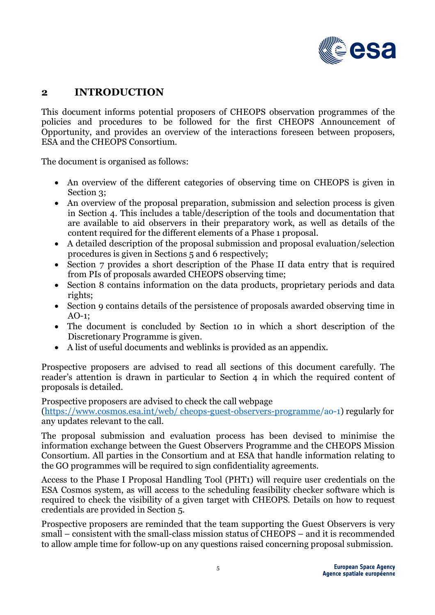

#### **2 INTRODUCTION**

This document informs potential proposers of CHEOPS observation programmes of the policies and procedures to be followed for the first CHEOPS Announcement of Opportunity, and provides an overview of the interactions foreseen between proposers, ESA and the CHEOPS Consortium.

The document is organised as follows:

- An overview of the different categories of observing time on CHEOPS is given in Section 3;
- An overview of the proposal preparation, submission and selection process is given in Section 4. This includes a table/description of the tools and documentation that are available to aid observers in their preparatory work, as well as details of the content required for the different elements of a Phase 1 proposal.
- A detailed description of the proposal submission and proposal evaluation/selection procedures is given in Sections 5 and 6 respectively;
- Section 7 provides a short description of the Phase II data entry that is required from PIs of proposals awarded CHEOPS observing time;
- Section 8 contains information on the data products, proprietary periods and data rights;
- Section 9 contains details of the persistence of proposals awarded observing time in AO-1;
- The document is concluded by Section 10 in which a short description of the Discretionary Programme is given.
- A list of useful documents and weblinks is provided as an appendix.

Prospective proposers are advised to read all sections of this document carefully. The reader's attention is drawn in particular to Section 4 in which the required content of proposals is detailed.

Prospective proposers are advised to check the call webpage

(https://www.cosmos.esa.int/web/ cheops-guest-observers-programme/ao-1) regularly for any updates relevant to the call.

The proposal submission and evaluation process has been devised to minimise the information exchange between the Guest Observers Programme and the CHEOPS Mission Consortium. All parties in the Consortium and at ESA that handle information relating to the GO programmes will be required to sign confidentiality agreements.

Access to the Phase I Proposal Handling Tool (PHT1) will require user credentials on the ESA Cosmos system, as will access to the scheduling feasibility checker software which is required to check the visibility of a given target with CHEOPS. Details on how to request credentials are provided in Section 5.

Prospective proposers are reminded that the team supporting the Guest Observers is very small – consistent with the small-class mission status of CHEOPS – and it is recommended to allow ample time for follow-up on any questions raised concerning proposal submission.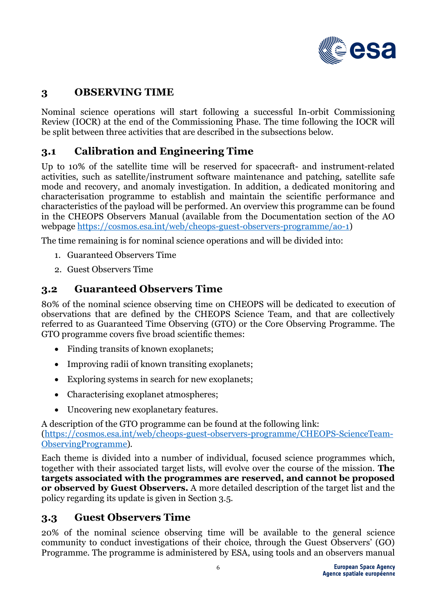

# **3 OBSERVING TIME**

Nominal science operations will start following a successful In-orbit Commissioning Review (IOCR) at the end of the Commissioning Phase. The time following the IOCR will be split between three activities that are described in the subsections below.

## **3.1 Calibration and Engineering Time**

Up to 10% of the satellite time will be reserved for spacecraft- and instrument-related activities, such as satellite/instrument software maintenance and patching, satellite safe mode and recovery, and anomaly investigation. In addition, a dedicated monitoring and characterisation programme to establish and maintain the scientific performance and characteristics of the payload will be performed. An overview this programme can be found in the CHEOPS Observers Manual (available from the Documentation section of the AO webpage https://cosmos.esa.int/web/cheops-guest-observers-programme/ao-1)

The time remaining is for nominal science operations and will be divided into:

- 1. Guaranteed Observers Time
- 2. Guest Observers Time

#### **3.2 Guaranteed Observers Time**

80% of the nominal science observing time on CHEOPS will be dedicated to execution of observations that are defined by the CHEOPS Science Team, and that are collectively referred to as Guaranteed Time Observing (GTO) or the Core Observing Programme. The GTO programme covers five broad scientific themes:

- Finding transits of known exoplanets;
- Improving radii of known transiting exoplanets:
- Exploring systems in search for new exoplanets;
- Characterising exoplanet atmospheres;
- Uncovering new exoplanetary features.

A description of the GTO programme can be found at the following link: (https://cosmos.esa.int/web/cheops-guest-observers-programme/CHEOPS-ScienceTeam-ObservingProgramme).

Each theme is divided into a number of individual, focused science programmes which, together with their associated target lists, will evolve over the course of the mission. **The targets associated with the programmes are reserved, and cannot be proposed or observed by Guest Observers.** A more detailed description of the target list and the policy regarding its update is given in Section 3.5.

#### **3.3 Guest Observers Time**

20% of the nominal science observing time will be available to the general science community to conduct investigations of their choice, through the Guest Observers' (GO) Programme. The programme is administered by ESA, using tools and an observers manual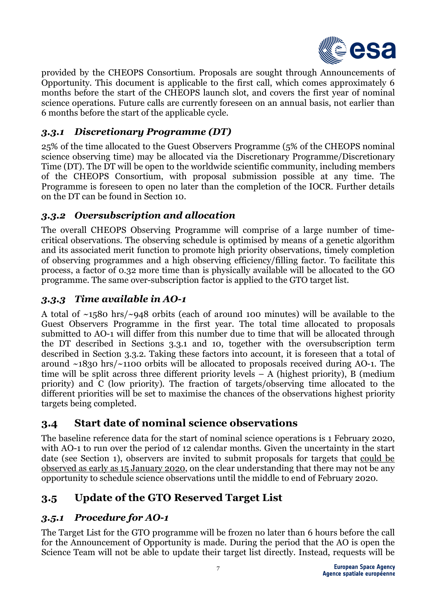

provided by the CHEOPS Consortium. Proposals are sought through Announcements of Opportunity. This document is applicable to the first call, which comes approximately 6 months before the start of the CHEOPS launch slot, and covers the first year of nominal science operations. Future calls are currently foreseen on an annual basis, not earlier than 6 months before the start of the applicable cycle.

#### *3.3.1 Discretionary Programme (DT)*

25% of the time allocated to the Guest Observers Programme (5% of the CHEOPS nominal science observing time) may be allocated via the Discretionary Programme/Discretionary Time (DT). The DT will be open to the worldwide scientific community, including members of the CHEOPS Consortium, with proposal submission possible at any time. The Programme is foreseen to open no later than the completion of the IOCR. Further details on the DT can be found in Section 10.

#### *3.3.2 Oversubscription and allocation*

The overall CHEOPS Observing Programme will comprise of a large number of timecritical observations. The observing schedule is optimised by means of a genetic algorithm and its associated merit function to promote high priority observations, timely completion of observing programmes and a high observing efficiency/filling factor. To facilitate this process, a factor of 0.32 more time than is physically available will be allocated to the GO programme. The same over-subscription factor is applied to the GTO target list.

# *3.3.3 Time available in AO-1*

A total of ~1580 hrs/~948 orbits (each of around 100 minutes) will be available to the Guest Observers Programme in the first year. The total time allocated to proposals submitted to AO-1 will differ from this number due to time that will be allocated through the DT described in Sections 3.3.1 and 10, together with the oversubscription term described in Section 3.3.2. Taking these factors into account, it is foreseen that a total of around ~1830 hrs/~1100 orbits will be allocated to proposals received during AO-1. The time will be split across three different priority levels  $- A$  (highest priority), B (medium priority) and C (low priority). The fraction of targets/observing time allocated to the different priorities will be set to maximise the chances of the observations highest priority targets being completed.

## **3.4 Start date of nominal science observations**

The baseline reference data for the start of nominal science operations is 1 February 2020, with AO-1 to run over the period of 12 calendar months. Given the uncertainty in the start date (see Section 1), observers are invited to submit proposals for targets that could be observed as early as 15 January 2020, on the clear understanding that there may not be any opportunity to schedule science observations until the middle to end of February 2020.

# **3.5 Update of the GTO Reserved Target List**

#### *3.5.1 Procedure for AO-1*

The Target List for the GTO programme will be frozen no later than 6 hours before the call for the Announcement of Opportunity is made. During the period that the AO is open the Science Team will not be able to update their target list directly. Instead, requests will be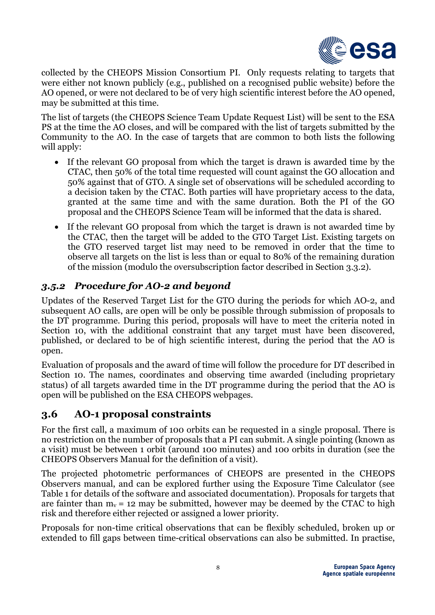

collected by the CHEOPS Mission Consortium PI. Only requests relating to targets that were either not known publicly (e.g., published on a recognised public website) before the AO opened, or were not declared to be of very high scientific interest before the AO opened, may be submitted at this time.

The list of targets (the CHEOPS Science Team Update Request List) will be sent to the ESA PS at the time the AO closes, and will be compared with the list of targets submitted by the Community to the AO. In the case of targets that are common to both lists the following will apply:

- If the relevant GO proposal from which the target is drawn is awarded time by the CTAC, then 50% of the total time requested will count against the GO allocation and 50% against that of GTO. A single set of observations will be scheduled according to a decision taken by the CTAC. Both parties will have proprietary access to the data, granted at the same time and with the same duration. Both the PI of the GO proposal and the CHEOPS Science Team will be informed that the data is shared.
- If the relevant GO proposal from which the target is drawn is not awarded time by the CTAC, then the target will be added to the GTO Target List. Existing targets on the GTO reserved target list may need to be removed in order that the time to observe all targets on the list is less than or equal to 80% of the remaining duration of the mission (modulo the oversubscription factor described in Section 3.3.2).

## *3.5.2 Procedure for AO-2 and beyond*

Updates of the Reserved Target List for the GTO during the periods for which AO-2, and subsequent AO calls, are open will be only be possible through submission of proposals to the DT programme. During this period, proposals will have to meet the criteria noted in Section 10, with the additional constraint that any target must have been discovered, published, or declared to be of high scientific interest, during the period that the AO is open.

Evaluation of proposals and the award of time will follow the procedure for DT described in Section 10. The names, coordinates and observing time awarded (including proprietary status) of all targets awarded time in the DT programme during the period that the AO is open will be published on the ESA CHEOPS webpages.

## **3.6 AO-1 proposal constraints**

For the first call, a maximum of 100 orbits can be requested in a single proposal. There is no restriction on the number of proposals that a PI can submit. A single pointing (known as a visit) must be between 1 orbit (around 100 minutes) and 100 orbits in duration (see the CHEOPS Observers Manual for the definition of a visit).

The projected photometric performances of CHEOPS are presented in the CHEOPS Observers manual, and can be explored further using the Exposure Time Calculator (see Table 1 for details of the software and associated documentation). Proposals for targets that are fainter than  $m_v = 12$  may be submitted, however may be deemed by the CTAC to high risk and therefore either rejected or assigned a lower priority.

Proposals for non-time critical observations that can be flexibly scheduled, broken up or extended to fill gaps between time-critical observations can also be submitted. In practise,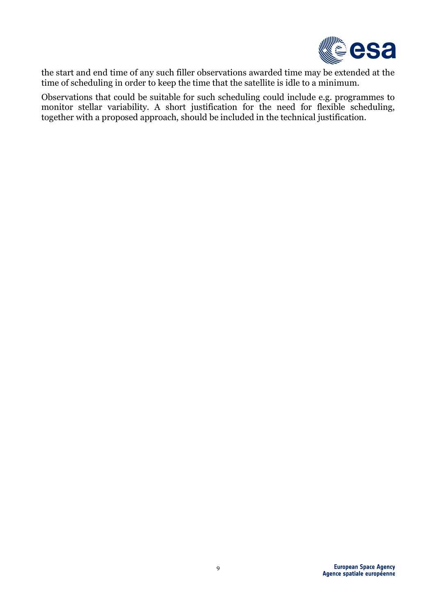

the start and end time of any such filler observations awarded time may be extended at the time of scheduling in order to keep the time that the satellite is idle to a minimum.

Observations that could be suitable for such scheduling could include e.g. programmes to monitor stellar variability. A short justification for the need for flexible scheduling, together with a proposed approach, should be included in the technical justification.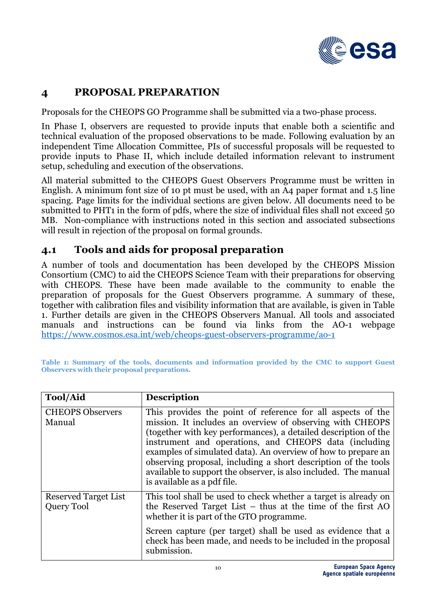

# **4 PROPOSAL PREPARATION**

Proposals for the CHEOPS GO Programme shall be submitted via a two-phase process.

In Phase I, observers are requested to provide inputs that enable both a scientific and technical evaluation of the proposed observations to be made. Following evaluation by an independent Time Allocation Committee, PIs of successful proposals will be requested to provide inputs to Phase II, which include detailed information relevant to instrument setup, scheduling and execution of the observations.

All material submitted to the CHEOPS Guest Observers Programme must be written in English. A minimum font size of 10 pt must be used, with an A4 paper format and 1.5 line spacing. Page limits for the individual sections are given below. All documents need to be submitted to PHT1 in the form of pdfs, where the size of individual files shall not exceed 50 MB. Non-compliance with instructions noted in this section and associated subsections will result in rejection of the proposal on formal grounds.

## **4.1 Tools and aids for proposal preparation**

A number of tools and documentation has been developed by the CHEOPS Mission Consortium (CMC) to aid the CHEOPS Science Team with their preparations for observing with CHEOPS. These have been made available to the community to enable the preparation of proposals for the Guest Observers programme. A summary of these, together with calibration files and visibility information that are available, is given in Table 1. Further details are given in the CHEOPS Observers Manual. All tools and associated manuals and instructions can be found via links from the AO-1 webpage https://www.cosmos.esa.int/web/cheops-guest-observers-programme/ao-1

**Table 1: Summary of the tools, documents and information provided by the CMC to support Guest Observers with their proposal preparations.** 

| <b>Tool/Aid</b>                    | <b>Description</b>                                                                                                                                                                                                                                                                                                                                                                                                                                                                        |
|------------------------------------|-------------------------------------------------------------------------------------------------------------------------------------------------------------------------------------------------------------------------------------------------------------------------------------------------------------------------------------------------------------------------------------------------------------------------------------------------------------------------------------------|
| <b>CHEOPS Observers</b><br>Manual  | This provides the point of reference for all aspects of the<br>mission. It includes an overview of observing with CHEOPS<br>(together with key performances), a detailed description of the<br>instrument and operations, and CHEOPS data (including<br>examples of simulated data). An overview of how to prepare an<br>observing proposal, including a short description of the tools<br>available to support the observer, is also included. The manual<br>is available as a pdf file. |
| Reserved Target List<br>Query Tool | This tool shall be used to check whether a target is already on<br>the Reserved Target List $-$ thus at the time of the first AO<br>whether it is part of the GTO programme.                                                                                                                                                                                                                                                                                                              |
|                                    | Screen capture (per target) shall be used as evidence that a<br>check has been made, and needs to be included in the proposal<br>submission.                                                                                                                                                                                                                                                                                                                                              |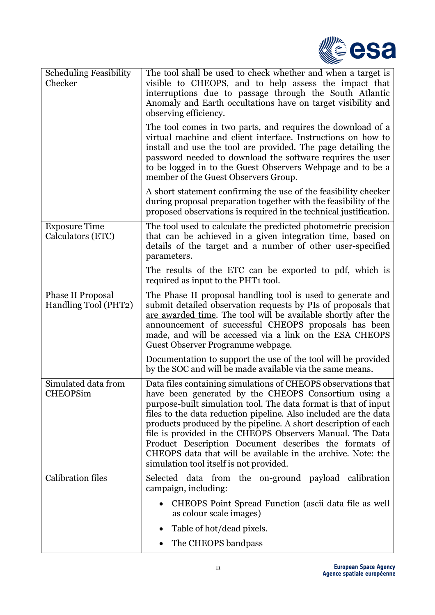

| <b>Scheduling Feasibility</b><br>Checker         | The tool shall be used to check whether and when a target is<br>visible to CHEOPS, and to help assess the impact that<br>interruptions due to passage through the South Atlantic<br>Anomaly and Earth occultations have on target visibility and<br>observing efficiency.                                                                                                                                                                                                                                                                                       |
|--------------------------------------------------|-----------------------------------------------------------------------------------------------------------------------------------------------------------------------------------------------------------------------------------------------------------------------------------------------------------------------------------------------------------------------------------------------------------------------------------------------------------------------------------------------------------------------------------------------------------------|
|                                                  | The tool comes in two parts, and requires the download of a<br>virtual machine and client interface. Instructions on how to<br>install and use the tool are provided. The page detailing the<br>password needed to download the software requires the user<br>to be logged in to the Guest Observers Webpage and to be a<br>member of the Guest Observers Group.                                                                                                                                                                                                |
|                                                  | A short statement confirming the use of the feasibility checker<br>during proposal preparation together with the feasibility of the<br>proposed observations is required in the technical justification.                                                                                                                                                                                                                                                                                                                                                        |
| <b>Exposure Time</b><br>Calculators (ETC)        | The tool used to calculate the predicted photometric precision<br>that can be achieved in a given integration time, based on<br>details of the target and a number of other user-specified<br>parameters.                                                                                                                                                                                                                                                                                                                                                       |
|                                                  | The results of the ETC can be exported to pdf, which is<br>required as input to the PHT1 tool.                                                                                                                                                                                                                                                                                                                                                                                                                                                                  |
| <b>Phase II Proposal</b><br>Handling Tool (PHT2) | The Phase II proposal handling tool is used to generate and<br>submit detailed observation requests by PIs of proposals that<br>are awarded time. The tool will be available shortly after the<br>announcement of successful CHEOPS proposals has been<br>made, and will be accessed via a link on the ESA CHEOPS<br>Guest Observer Programme webpage.                                                                                                                                                                                                          |
|                                                  | Documentation to support the use of the tool will be provided<br>by the SOC and will be made available via the same means.                                                                                                                                                                                                                                                                                                                                                                                                                                      |
| Simulated data from<br><b>CHEOPSim</b>           | Data files containing simulations of CHEOPS observations that<br>have been generated by the CHEOPS Consortium using a<br>purpose-built simulation tool. The data format is that of input<br>files to the data reduction pipeline. Also included are the data<br>products produced by the pipeline. A short description of each<br>file is provided in the CHEOPS Observers Manual. The Data<br>Product Description Document describes the formats of<br>CHEOPS data that will be available in the archive. Note: the<br>simulation tool itself is not provided. |
| <b>Calibration files</b>                         | Selected data from<br>the on-ground payload calibration<br>campaign, including:                                                                                                                                                                                                                                                                                                                                                                                                                                                                                 |
|                                                  | CHEOPS Point Spread Function (ascii data file as well<br>as colour scale images)                                                                                                                                                                                                                                                                                                                                                                                                                                                                                |
|                                                  | Table of hot/dead pixels.<br>٠                                                                                                                                                                                                                                                                                                                                                                                                                                                                                                                                  |
|                                                  | The CHEOPS bandpass                                                                                                                                                                                                                                                                                                                                                                                                                                                                                                                                             |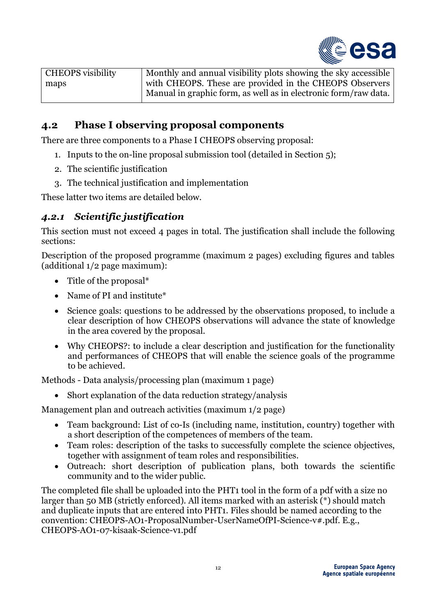

| <b>CHEOPS</b> visibility | Monthly and annual visibility plots showing the sky accessible  |
|--------------------------|-----------------------------------------------------------------|
| maps                     | with CHEOPS. These are provided in the CHEOPS Observers         |
|                          | Manual in graphic form, as well as in electronic form/raw data. |

# **4.2 Phase I observing proposal components**

There are three components to a Phase I CHEOPS observing proposal:

- 1. Inputs to the on-line proposal submission tool (detailed in Section 5);
- 2. The scientific justification
- 3. The technical justification and implementation

These latter two items are detailed below.

#### *4.2.1 Scientific justification*

This section must not exceed 4 pages in total. The justification shall include the following sections:

Description of the proposed programme (maximum 2 pages) excluding figures and tables (additional 1/2 page maximum):

- Title of the proposal\*
- Name of PI and institute\*
- Science goals: questions to be addressed by the observations proposed, to include a clear description of how CHEOPS observations will advance the state of knowledge in the area covered by the proposal.
- Why CHEOPS?: to include a clear description and justification for the functionality and performances of CHEOPS that will enable the science goals of the programme to be achieved.

Methods - Data analysis/processing plan (maximum 1 page)

• Short explanation of the data reduction strategy/analysis

Management plan and outreach activities (maximum 1/2 page)

- Team background: List of co-Is (including name, institution, country) together with a short description of the competences of members of the team.
- Team roles: description of the tasks to successfully complete the science objectives, together with assignment of team roles and responsibilities.
- Outreach: short description of publication plans, both towards the scientific community and to the wider public.

The completed file shall be uploaded into the PHT1 tool in the form of a pdf with a size no larger than 50 MB (strictly enforced). All items marked with an asterisk (\*) should match and duplicate inputs that are entered into PHT1. Files should be named according to the convention: CHEOPS-AO1-ProposalNumber-UserNameOfPI-Science-v#.pdf. E.g., CHEOPS-AO1-07-kisaak-Science-v1.pdf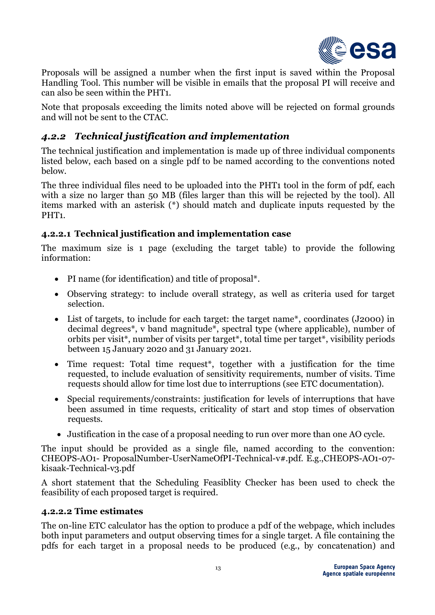

Proposals will be assigned a number when the first input is saved within the Proposal Handling Tool. This number will be visible in emails that the proposal PI will receive and can also be seen within the PHT1.

Note that proposals exceeding the limits noted above will be rejected on formal grounds and will not be sent to the CTAC.

## *4.2.2 Technical justification and implementation*

The technical justification and implementation is made up of three individual components listed below, each based on a single pdf to be named according to the conventions noted below.

The three individual files need to be uploaded into the PHT1 tool in the form of pdf, each with a size no larger than 50 MB (files larger than this will be rejected by the tool). All items marked with an asterisk (\*) should match and duplicate inputs requested by the PHT<sub>1</sub>.

#### **4.2.2.1 Technical justification and implementation case**

The maximum size is 1 page (excluding the target table) to provide the following information:

- PI name (for identification) and title of proposal\*.
- Observing strategy: to include overall strategy, as well as criteria used for target selection.
- List of targets, to include for each target: the target name<sup>\*</sup>, coordinates (J2000) in decimal degrees\*, v band magnitude\*, spectral type (where applicable), number of orbits per visit\*, number of visits per target\*, total time per target\*, visibility periods between 15 January 2020 and 31 January 2021.
- Time request: Total time request\*, together with a justification for the time requested, to include evaluation of sensitivity requirements, number of visits. Time requests should allow for time lost due to interruptions (see ETC documentation).
- Special requirements/constraints: justification for levels of interruptions that have been assumed in time requests, criticality of start and stop times of observation requests.
- Justification in the case of a proposal needing to run over more than one AO cycle.

The input should be provided as a single file, named according to the convention: CHEOPS-AO1- ProposalNumber-UserNameOfPI-Technical-v#.pdf. E.g.,CHEOPS-AO1-07 kisaak-Technical-v3.pdf

A short statement that the Scheduling Feasiblity Checker has been used to check the feasibility of each proposed target is required.

#### **4.2.2.2 Time estimates**

The on-line ETC calculator has the option to produce a pdf of the webpage, which includes both input parameters and output observing times for a single target. A file containing the pdfs for each target in a proposal needs to be produced (e.g., by concatenation) and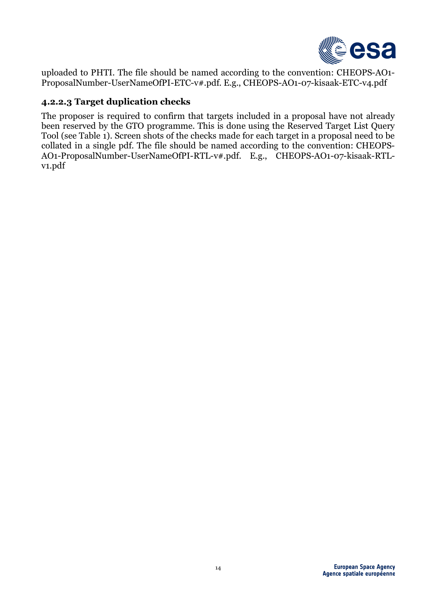

uploaded to PHTI. The file should be named according to the convention: CHEOPS-AO1- ProposalNumber-UserNameOfPI-ETC-v#.pdf. E.g., CHEOPS-AO1-07-kisaak-ETC-v4.pdf

#### **4.2.2.3 Target duplication checks**

The proposer is required to confirm that targets included in a proposal have not already been reserved by the GTO programme. This is done using the Reserved Target List Query Tool (see Table 1). Screen shots of the checks made for each target in a proposal need to be collated in a single pdf. The file should be named according to the convention: CHEOPS-AO1-ProposalNumber-UserNameOfPI-RTL-v#.pdf. E.g., CHEOPS-AO1-07-kisaak-RTLv1.pdf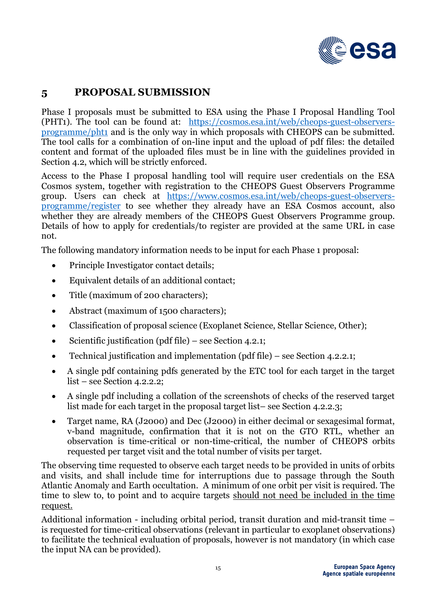

# **5 PROPOSAL SUBMISSION**

Phase I proposals must be submitted to ESA using the Phase I Proposal Handling Tool (PHT1). The tool can be found at: https://cosmos.esa.int/web/cheops-guest-observersprogramme/pht1 and is the only way in which proposals with CHEOPS can be submitted. The tool calls for a combination of on-line input and the upload of pdf files: the detailed content and format of the uploaded files must be in line with the guidelines provided in Section 4.2, which will be strictly enforced.

Access to the Phase I proposal handling tool will require user credentials on the ESA Cosmos system, together with registration to the CHEOPS Guest Observers Programme group. Users can check at https://www.cosmos.esa.int/web/cheops-guest-observersprogramme/register to see whether they already have an ESA Cosmos account, also whether they are already members of the CHEOPS Guest Observers Programme group. Details of how to apply for credentials/to register are provided at the same URL in case not.

The following mandatory information needs to be input for each Phase 1 proposal:

- Principle Investigator contact details;
- Equivalent details of an additional contact;
- Title (maximum of 200 characters);
- Abstract (maximum of 1500 characters);
- Classification of proposal science (Exoplanet Science, Stellar Science, Other);
- Scientific justification (pdf file) see Section 4.2.1;
- Technical justification and implementation (pdf file) see Section 4.2.2.1;
- A single pdf containing pdfs generated by the ETC tool for each target in the target list – see Section 4.2.2.2;
- A single pdf including a collation of the screenshots of checks of the reserved target list made for each target in the proposal target list– see Section 4.2.2.3;
- Target name, RA (J2000) and Dec (J2000) in either decimal or sexagesimal format, v-band magnitude, confirmation that it is not on the GTO RTL, whether an observation is time-critical or non-time-critical, the number of CHEOPS orbits requested per target visit and the total number of visits per target.

The observing time requested to observe each target needs to be provided in units of orbits and visits, and shall include time for interruptions due to passage through the South Atlantic Anomaly and Earth occultation. A minimum of one orbit per visit is required. The time to slew to, to point and to acquire targets should not need be included in the time request.

Additional information - including orbital period, transit duration and mid-transit time – is requested for time-critical observations (relevant in particular to exoplanet observations) to facilitate the technical evaluation of proposals, however is not mandatory (in which case the input NA can be provided).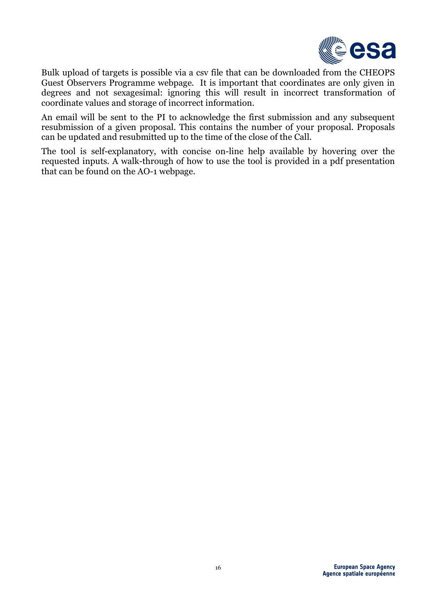

Bulk upload of targets is possible via a csv file that can be downloaded from the CHEOPS Guest Observers Programme webpage. It is important that coordinates are only given in degrees and not sexagesimal: ignoring this will result in incorrect transformation of coordinate values and storage of incorrect information.

An email will be sent to the PI to acknowledge the first submission and any subsequent resubmission of a given proposal. This contains the number of your proposal. Proposals can be updated and resubmitted up to the time of the close of the Call.

The tool is self-explanatory, with concise on-line help available by hovering over the requested inputs. A walk-through of how to use the tool is provided in a pdf presentation that can be found on the AO-1 webpage.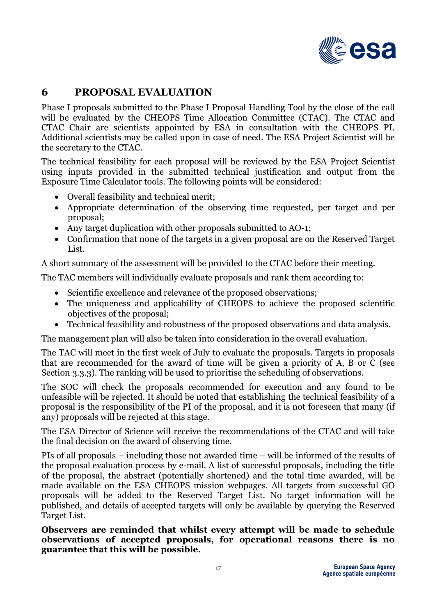

## **6 PROPOSAL EVALUATION**

Phase I proposals submitted to the Phase I Proposal Handling Tool by the close of the call will be evaluated by the CHEOPS Time Allocation Committee (CTAC). The CTAC and CTAC Chair are scientists appointed by ESA in consultation with the CHEOPS PI. Additional scientists may be called upon in case of need. The ESA Project Scientist will be the secretary to the CTAC.

The technical feasibility for each proposal will be reviewed by the ESA Project Scientist using inputs provided in the submitted technical justification and output from the Exposure Time Calculator tools. The following points will be considered:

- Overall feasibility and technical merit;
- Appropriate determination of the observing time requested, per target and per proposal;
- Any target duplication with other proposals submitted to AO-1;
- Confirmation that none of the targets in a given proposal are on the Reserved Target List.

A short summary of the assessment will be provided to the CTAC before their meeting.

The TAC members will individually evaluate proposals and rank them according to:

- Scientific excellence and relevance of the proposed observations;
- The uniqueness and applicability of CHEOPS to achieve the proposed scientific objectives of the proposal;
- Technical feasibility and robustness of the proposed observations and data analysis.

The management plan will also be taken into consideration in the overall evaluation.

The TAC will meet in the first week of July to evaluate the proposals. Targets in proposals that are recommended for the award of time will be given a priority of A, B or C (see Section 3.3.3). The ranking will be used to prioritise the scheduling of observations.

The SOC will check the proposals recommended for execution and any found to be unfeasible will be rejected. It should be noted that establishing the technical feasibility of a proposal is the responsibility of the PI of the proposal, and it is not foreseen that many (if any) proposals will be rejected at this stage.

The ESA Director of Science will receive the recommendations of the CTAC and will take the final decision on the award of observing time.

PIs of all proposals – including those not awarded time – will be informed of the results of the proposal evaluation process by e-mail. A list of successful proposals, including the title of the proposal, the abstract (potentially shortened) and the total time awarded, will be made available on the ESA CHEOPS mission webpages. All targets from successful GO proposals will be added to the Reserved Target List. No target information will be published, and details of accepted targets will only be available by querying the Reserved Target List.

**Observers are reminded that whilst every attempt will be made to schedule observations of accepted proposals, for operational reasons there is no guarantee that this will be possible.**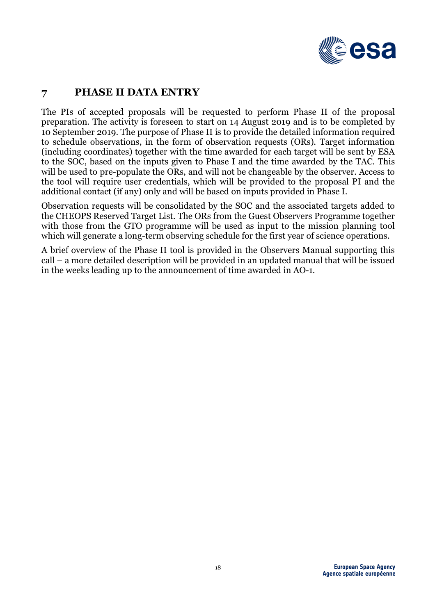

# **7 PHASE II DATA ENTRY**

The PIs of accepted proposals will be requested to perform Phase II of the proposal preparation. The activity is foreseen to start on 14 August 2019 and is to be completed by 10 September 2019. The purpose of Phase II is to provide the detailed information required to schedule observations, in the form of observation requests (ORs). Target information (including coordinates) together with the time awarded for each target will be sent by ESA to the SOC, based on the inputs given to Phase I and the time awarded by the TAC. This will be used to pre-populate the ORs, and will not be changeable by the observer. Access to the tool will require user credentials, which will be provided to the proposal PI and the additional contact (if any) only and will be based on inputs provided in Phase I.

Observation requests will be consolidated by the SOC and the associated targets added to the CHEOPS Reserved Target List. The ORs from the Guest Observers Programme together with those from the GTO programme will be used as input to the mission planning tool which will generate a long-term observing schedule for the first year of science operations.

A brief overview of the Phase II tool is provided in the Observers Manual supporting this call – a more detailed description will be provided in an updated manual that will be issued in the weeks leading up to the announcement of time awarded in AO-1.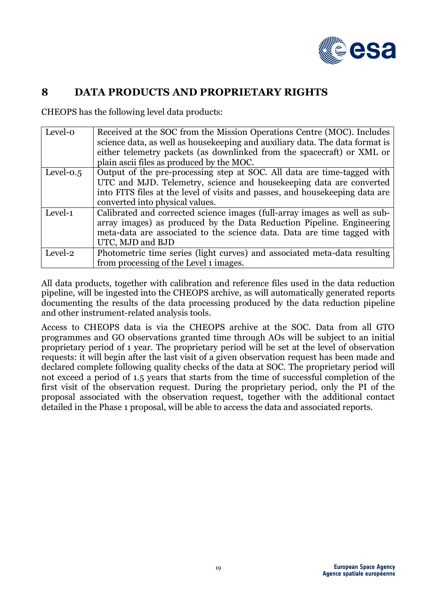

#### **8 DATA PRODUCTS AND PROPRIETARY RIGHTS**

CHEOPS has the following level data products:

| Level-o      | Received at the SOC from the Mission Operations Centre (MOC). Includes<br>science data, as well as house keeping and auxiliary data. The data format is<br>either telemetry packets (as downlinked from the spacecraft) or XML or<br>plain ascii files as produced by the MOC. |
|--------------|--------------------------------------------------------------------------------------------------------------------------------------------------------------------------------------------------------------------------------------------------------------------------------|
| Level- $0.5$ | Output of the pre-processing step at SOC. All data are time-tagged with<br>UTC and MJD. Telemetry, science and house keeping data are converted<br>into FITS files at the level of visits and passes, and house keeping data are<br>converted into physical values.            |
| Level-1      | Calibrated and corrected science images (full-array images as well as sub-<br>array images) as produced by the Data Reduction Pipeline. Engineering<br>meta-data are associated to the science data. Data are time tagged with<br>UTC, MJD and BJD                             |
| Level-2      | Photometric time series (light curves) and associated meta-data resulting<br>from processing of the Level 1 images.                                                                                                                                                            |

All data products, together with calibration and reference files used in the data reduction pipeline, will be ingested into the CHEOPS archive, as will automatically generated reports documenting the results of the data processing produced by the data reduction pipeline and other instrument-related analysis tools.

Access to CHEOPS data is via the CHEOPS archive at the SOC. Data from all GTO programmes and GO observations granted time through AOs will be subject to an initial proprietary period of 1 year. The proprietary period will be set at the level of observation requests: it will begin after the last visit of a given observation request has been made and declared complete following quality checks of the data at SOC. The proprietary period will not exceed a period of 1.5 years that starts from the time of successful completion of the first visit of the observation request. During the proprietary period, only the PI of the proposal associated with the observation request, together with the additional contact detailed in the Phase 1 proposal, will be able to access the data and associated reports.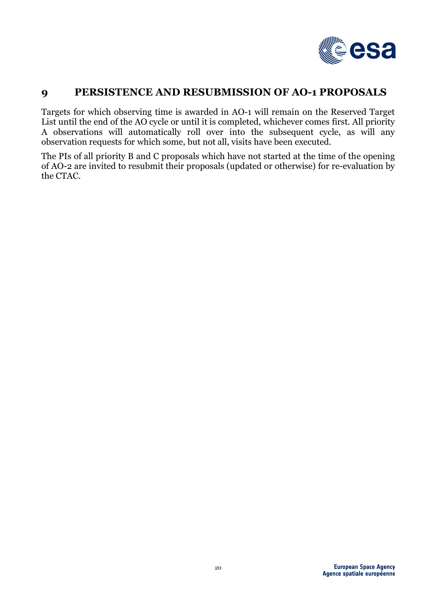

#### **9 PERSISTENCE AND RESUBMISSION OF AO-1 PROPOSALS**

Targets for which observing time is awarded in AO-1 will remain on the Reserved Target List until the end of the AO cycle or until it is completed, whichever comes first. All priority A observations will automatically roll over into the subsequent cycle, as will any observation requests for which some, but not all, visits have been executed.

The PIs of all priority B and C proposals which have not started at the time of the opening of AO-2 are invited to resubmit their proposals (updated or otherwise) for re-evaluation by the CTAC.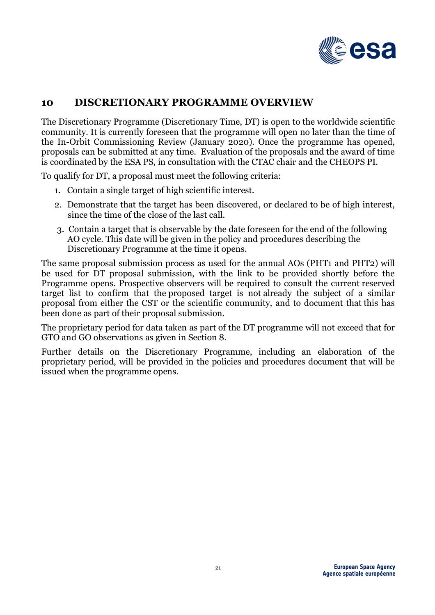

## **10 DISCRETIONARY PROGRAMME OVERVIEW**

The Discretionary Programme (Discretionary Time, DT) is open to the worldwide scientific community. It is currently foreseen that the programme will open no later than the time of the In-Orbit Commissioning Review (January 2020). Once the programme has opened, proposals can be submitted at any time. Evaluation of the proposals and the award of time is coordinated by the ESA PS, in consultation with the CTAC chair and the CHEOPS PI.

To qualify for DT, a proposal must meet the following criteria:

- 1. Contain a single target of high scientific interest.
- 2. Demonstrate that the target has been discovered, or declared to be of high interest, since the time of the close of the last call.
- 3. Contain a target that is observable by the date foreseen for the end of the following AO cycle. This date will be given in the policy and procedures describing the Discretionary Programme at the time it opens.

The same proposal submission process as used for the annual AOs (PHT1 and PHT2) will be used for DT proposal submission, with the link to be provided shortly before the Programme opens. Prospective observers will be required to consult the current reserved target list to confirm that the proposed target is not already the subject of a similar proposal from either the CST or the scientific community, and to document that this has been done as part of their proposal submission.

The proprietary period for data taken as part of the DT programme will not exceed that for GTO and GO observations as given in Section 8.

Further details on the Discretionary Programme, including an elaboration of the proprietary period, will be provided in the policies and procedures document that will be issued when the programme opens.